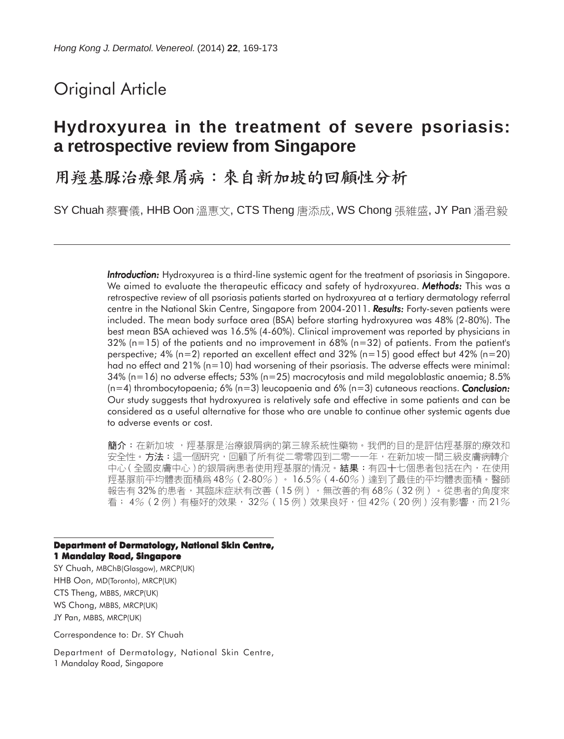# Original Article

## **Hydroxyurea in the treatment of severe psoriasis: a retrospective review from Singapore**

用羥基脲治療銀屑病:來自新加坡的回顧性分析

SY Chuah 蔡賽儀, HHB Oon 溫惠文, CTS Theng 唐添成, WS Chong 張維盛, JY Pan 潘君毅

*Introduction: Introduction:* Hydroxyurea is a third-line systemic agent for the treatment of psoriasis in Singapore. We aimed to evaluate the therapeutic efficacy and safety of hydroxyurea. *Methods:* This was a retrospective review of all psoriasis patients started on hydroxyurea at a tertiary dermatology referral centre in the National Skin Centre, Singapore from 2004-2011. **Results:** Forty-seven patients were included. The mean body surface area (BSA) before starting hydroxyurea was 48% (2-80%). The best mean BSA achieved was 16.5% (4-60%). Clinical improvement was reported by physicians in  $32\%$  (n=15) of the patients and no improvement in 68% (n=32) of patients. From the patient's perspective; 4% ( $n=2$ ) reported an excellent effect and 32% ( $n=15$ ) good effect but 42% ( $n=20$ ) had no effect and 21% (n=10) had worsening of their psoriasis. The adverse effects were minimal: 34% (n=16) no adverse effects; 53% (n=25) macrocytosis and mild megaloblastic anaemia; 8.5% (n=4) thrombocytopaenia; 6% (n=3) leucopaenia and 6% (n=3) cutaneous reactions. *Conclusion: Conclusion:* Our study suggests that hydroxyurea is relatively safe and effective in some patients and can be considered as a useful alternative for those who are unable to continue other systemic agents due to adverse events or cost.

簡介:在新加坡 ,羥基脲是治療銀屑病的第三線系統性藥物。我們的目的是評估羥基脲的療效和 安全性。方法:這一個研究,回顧了所有從二零零四到二零一一年,在新加坡一間三級皮膚病轉介 中心(全國皮膚中心)的銀屑病患者使用羥基脲的情況。結果:有四十七個患者包括在內,在使用 羥基脲前平均體表面積爲 48%(2-80%)。 16.5%(4-60%)達到了最佳的平均體表面積。醫師 報告有 32% 的患者,其臨床症狀有改善 (15例),無改善的有 68% (32例) 。從患者的角度來 看; 4% (2例)有極好的效果, 32% (15例)效果良好, 但42% (20例) 沒有影響, 而 21%

**Department of Dermatology, National Skin Centre, 1 Mandalay Road, Singapore**

SY Chuah, MBChB(Glasgow), MRCP(UK) HHB Oon, MD(Toronto), MRCP(UK) CTS Theng, MBBS, MRCP(UK) WS Chong, MBBS, MRCP(UK) JY Pan, MBBS, MRCP(UK)

Correspondence to: Dr. SY Chuah

Department of Dermatology, National Skin Centre, 1 Mandalay Road, Singapore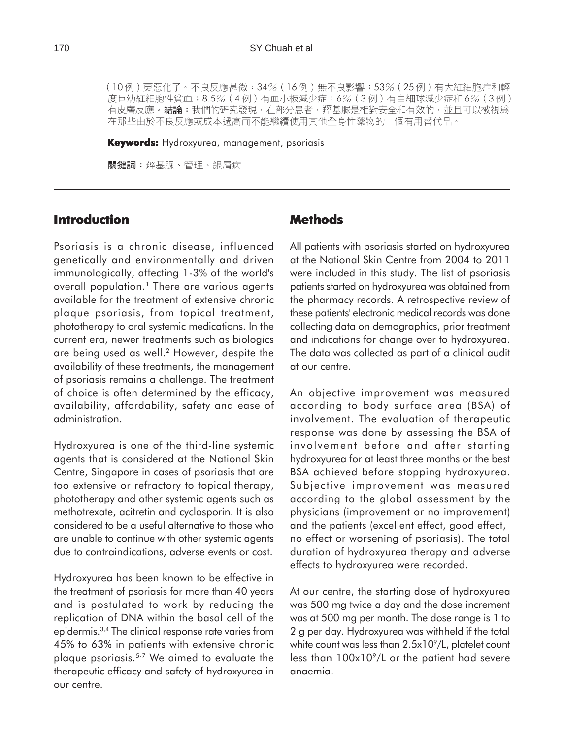(10例)更惡化了。不良反應甚微:34% (16例)無不良影響;53% (25例)有大紅細胞症和輕 度巨幼紅細胞性貧血;8.5%(4 例)有血小板減少症;6%(3 例)有白細球減少症和 6%(3 例)<br>有皮膚反應。結論:我們的研究發現,在部分患者,羥基脲是相對安全和有效的,並且可以被視爲 在那些由於不良反應或成本過高而不能繼續使用其他全身性藥物的一個有用替代品。

**Keywords:** Hydroxyurea, management, psoriasis

關鍵詞:羥基脲、管理、銀屑病

#### **Introduction**

Psoriasis is a chronic disease, influenced genetically and environmentally and driven immunologically, affecting 1-3% of the world's overall population.<sup>1</sup> There are various agents available for the treatment of extensive chronic plaque psoriasis, from topical treatment, phototherapy to oral systemic medications. In the current era, newer treatments such as biologics are being used as well.<sup>2</sup> However, despite the availability of these treatments, the management of psoriasis remains a challenge. The treatment of choice is often determined by the efficacy, availability, affordability, safety and ease of administration.

Hydroxyurea is one of the third-line systemic agents that is considered at the National Skin Centre, Singapore in cases of psoriasis that are too extensive or refractory to topical therapy, phototherapy and other systemic agents such as methotrexate, acitretin and cyclosporin. It is also considered to be a useful alternative to those who are unable to continue with other systemic agents due to contraindications, adverse events or cost.

Hydroxyurea has been known to be effective in the treatment of psoriasis for more than 40 years and is postulated to work by reducing the replication of DNA within the basal cell of the epidermis.3,4 The clinical response rate varies from 45% to 63% in patients with extensive chronic plaque psoriasis.5-7 We aimed to evaluate the therapeutic efficacy and safety of hydroxyurea in our centre.

### **Methods**

All patients with psoriasis started on hydroxyurea at the National Skin Centre from 2004 to 2011 were included in this study. The list of psoriasis patients started on hydroxyurea was obtained from the pharmacy records. A retrospective review of these patients' electronic medical records was done collecting data on demographics, prior treatment and indications for change over to hydroxyurea. The data was collected as part of a clinical audit at our centre.

An objective improvement was measured according to body surface area (BSA) of involvement. The evaluation of therapeutic response was done by assessing the BSA of involvement before and after starting hydroxyurea for at least three months or the best BSA achieved before stopping hydroxyurea. Subjective improvement was measured according to the global assessment by the physicians (improvement or no improvement) and the patients (excellent effect, good effect, no effect or worsening of psoriasis). The total duration of hydroxyurea therapy and adverse effects to hydroxyurea were recorded.

At our centre, the starting dose of hydroxyurea was 500 mg twice a day and the dose increment was at 500 mg per month. The dose range is 1 to 2 g per day. Hydroxyurea was withheld if the total white count was less than  $2.5x10^9$ /L, platelet count less than 100x109/L or the patient had severe anaemia.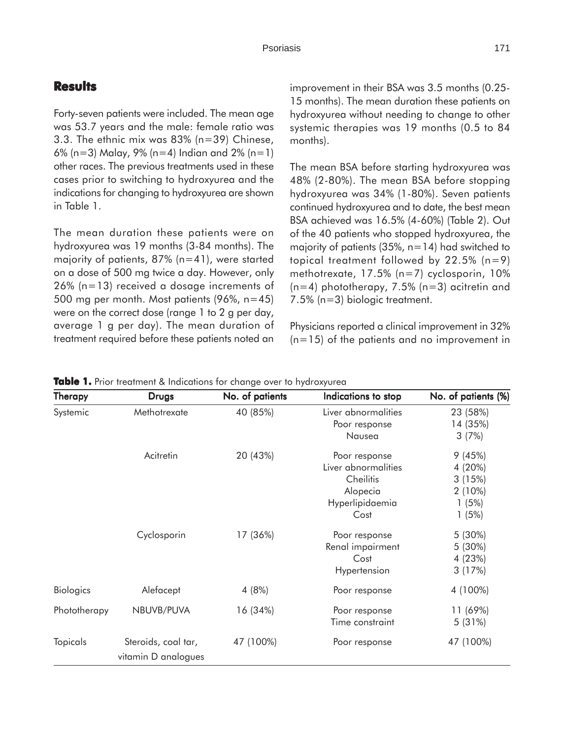### **Results**

Forty-seven patients were included. The mean age was 53.7 years and the male: female ratio was 3.3. The ethnic mix was 83% (n=39) Chinese, 6% (n=3) Malay, 9% (n=4) Indian and 2% (n=1) other races. The previous treatments used in these cases prior to switching to hydroxyurea and the indications for changing to hydroxyurea are shown in Table 1.

The mean duration these patients were on hydroxyurea was 19 months (3-84 months). The majority of patients,  $87\%$  (n=41), were started on a dose of 500 mg twice a day. However, only 26% (n=13) received a dosage increments of 500 mg per month. Most patients (96%, n=45) were on the correct dose (range 1 to 2 g per day, average 1 g per day). The mean duration of treatment required before these patients noted an

improvement in their BSA was 3.5 months (0.25- 15 months). The mean duration these patients on hydroxyurea without needing to change to other systemic therapies was 19 months (0.5 to 84 months).

The mean BSA before starting hydroxyurea was 48% (2-80%). The mean BSA before stopping hydroxyurea was 34% (1-80%). Seven patients continued hydroxyurea and to date, the best mean BSA achieved was 16.5% (4-60%) (Table 2). Out of the 40 patients who stopped hydroxyurea, the majority of patients  $(35\% , n=14)$  had switched to topical treatment followed by 22.5% (n=9) methotrexate, 17.5% (n=7) cyclosporin, 10%  $(n=4)$  phototherapy, 7.5% (n=3) acitretin and 7.5% (n=3) biologic treatment.

Physicians reported a clinical improvement in 32% (n=15) of the patients and no improvement in

| <b>Therapy</b>   | <b>Drugs</b>        | No. of patients | Indications to stop | No. of patients (%) |
|------------------|---------------------|-----------------|---------------------|---------------------|
| Systemic         | Methotrexate        | 40 (85%)        | Liver abnormalities | 23 (58%)            |
|                  |                     |                 | Poor response       | 14 (35%)            |
|                  |                     |                 | Nausea              | 3(7%)               |
|                  | Acitretin           | 20 (43%)        | Poor response       | 9(45%)              |
|                  |                     |                 | Liver abnormalities | 4 (20%)             |
|                  |                     |                 | Cheilitis           | 3(15%)              |
|                  |                     |                 | Alopecia            | $2(10\%)$           |
|                  |                     |                 | Hyperlipidaemia     | 1(5%)               |
|                  |                     |                 | Cost                | 1(5%)               |
|                  | Cyclosporin         | 17 (36%)        | Poor response       | 5 (30%)             |
|                  |                     |                 | Renal impairment    | 5 (30%)             |
|                  |                     |                 | Cost                | 4 (23%)             |
|                  |                     |                 | Hypertension        | 3(17%)              |
| <b>Biologics</b> | Alefacept           | 4(8%)           | Poor response       | 4 (100%)            |
| Phototherapy     | NBUVB/PUVA          | 16 (34%)        | Poor response       | 11 (69%)            |
|                  |                     |                 | Time constraint     | 5(31%)              |
| <b>Topicals</b>  | Steroids, coal tar, | 47 (100%)       | Poor response       | 47 (100%)           |
|                  | vitamin D analogues |                 |                     |                     |

**Table 1.** Prior treatment & Indications for change over to hydroxyurea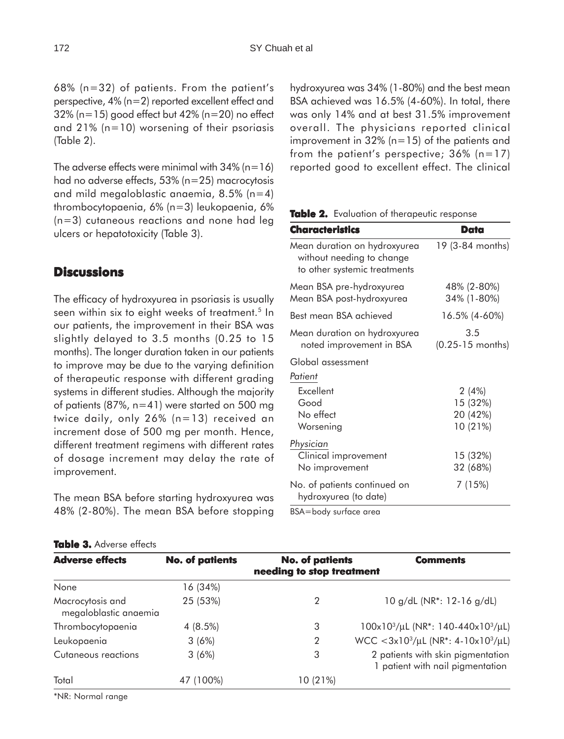68% (n=32) of patients. From the patient's perspective, 4% (n=2) reported excellent effect and 32% (n=15) good effect but 42% (n=20) no effect and 21% (n=10) worsening of their psoriasis (Table 2).

The adverse effects were minimal with  $34\%$  (n=16) had no adverse effects, 53% (n=25) macrocytosis and mild megaloblastic anaemia, 8.5% (n=4) thrombocytopaenia, 6% (n=3) leukopaenia, 6% (n=3) cutaneous reactions and none had leg ulcers or hepatotoxicity (Table 3).

#### **Discussions**

The efficacy of hydroxyurea in psoriasis is usually seen within six to eight weeks of treatment.<sup>5</sup> In our patients, the improvement in their BSA was slightly delayed to 3.5 months (0.25 to 15 months). The longer duration taken in our patients to improve may be due to the varying definition of therapeutic response with different grading systems in different studies. Although the majority of patients (87%, n=41) were started on 500 mg twice daily, only 26% (n=13) received an increment dose of 500 mg per month. Hence, different treatment regimens with different rates of dosage increment may delay the rate of improvement.

The mean BSA before starting hydroxyurea was 48% (2-80%). The mean BSA before stopping hydroxyurea was 34% (1-80%) and the best mean BSA achieved was 16.5% (4-60%). In total, there was only 14% and at best 31.5% improvement overall. The physicians reported clinical improvement in 32% (n=15) of the patients and from the patient's perspective;  $36\%$  (n=17) reported good to excellent effect. The clinical

| Table 2. Evaluation of therapeutic response |  |
|---------------------------------------------|--|
|---------------------------------------------|--|

| Characteristics                                                                           | Data                                     |
|-------------------------------------------------------------------------------------------|------------------------------------------|
| Mean duration on hydroxyurea<br>without needing to change<br>to other systemic treatments | 19 (3-84 months)                         |
| Mean BSA pre-hydroxyurea<br>Mean BSA post-hydroxyurea                                     | 48% (2-80%)<br>34% (1-80%)               |
| Best mean BSA achieved                                                                    | 16.5% (4-60%)                            |
| Mean duration on hydroxyurea<br>noted improvement in BSA                                  | 3.5<br>$(0.25 - 15$ months)              |
| Global assessment                                                                         |                                          |
| Patient                                                                                   |                                          |
| Excellent<br>Good<br>No effect<br>Worsening                                               | 2(4%)<br>15 (32%)<br>20 (42%)<br>10(21%) |
| Physician<br>Clinical improvement<br>No improvement                                       | 15 (32%)<br>32 (68%)                     |
| No. of patients continued on<br>hydroxyurea (to date)                                     | 7 (15%)                                  |

BSA=body surface area

| <b>Adverse effects</b>                    | <b>No. of patients</b> | <b>No. of patients</b><br>needing to stop treatment | <b>Comments</b>                                                         |
|-------------------------------------------|------------------------|-----------------------------------------------------|-------------------------------------------------------------------------|
| None                                      | 16 (34%)               |                                                     |                                                                         |
| Macrocytosis and<br>megaloblastic anaemia | 25 (53%)               | 2                                                   | 10 g/dL (NR <sup>*</sup> : 12-16 g/dL)                                  |
| Thrombocytopaenia                         | $4(8.5\%)$             | 3                                                   | $100x10^3/\mu L$ (NR <sup>*</sup> : 140-440x10 <sup>3</sup> / $\mu$ L)  |
| Leukopaenia                               | 3(6%)                  | 2                                                   | WCC <3x10 <sup>3</sup> /µL (NR <sup>*</sup> : 4-10x10 <sup>3</sup> /µL) |
| Cutaneous reactions                       | 3(6%)                  | 3                                                   | 2 patients with skin pigmentation<br>patient with nail pigmentation     |
| Total                                     | 47 (100%)              | 10 (21%)                                            |                                                                         |

\*NR: Normal range

**Table 3.** Adverse effects